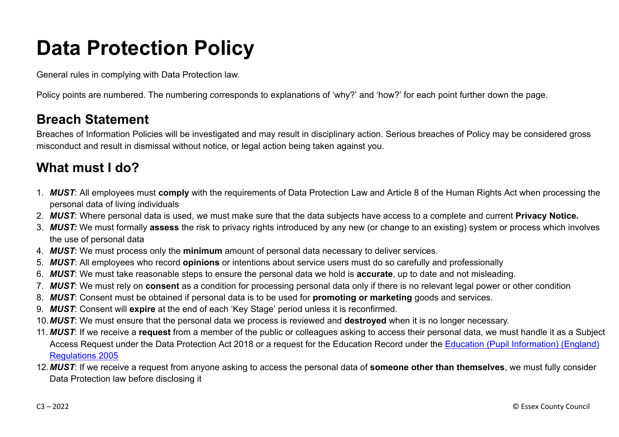# **Data Protection Policy**

General rules in complying with Data Protection law.

Policy points are numbered. The numbering corresponds to explanations of 'why?' and 'how?' for each point further down the page.

#### **Breach Statement**

Breaches of Information Policies will be investigated and may result in disciplinary action. Serious breaches of Policy may be considered gross misconduct and result in dismissal without notice, or legal action being taken against you.

## **What must I do?**

- 1. *MUST*: All employees must **comply** with the requirements of Data Protection Law and Article 8 of the Human Rights Act when processing the personal data of living individuals
- 2. *MUST*: Where personal data is used, we must make sure that the data subjects have access to a complete and current **Privacy Notice.**
- 3. *MUST:* We must formally **assess** the risk to privacy rights introduced by any new (or change to an existing) system or process which involves the use of personal data
- 4. *MUST*: We must process only the **minimum** amount of personal data necessary to deliver services.
- 5. *MUST*: All employees who record **opinions** or intentions about service users must do so carefully and professionally
- 6. *MUST*: We must take reasonable steps to ensure the personal data we hold is **accurate**, up to date and not misleading.
- 7. *MUST*: We must rely on **consent** as a condition for processing personal data only if there is no relevant legal power or other condition
- 8. *MUST*: Consent must be obtained if personal data is to be used for **promoting or marketing** goods and services.
- 9. *MUST*: Consent will **expire** at the end of each 'Key Stage' period unless it is reconfirmed.
- 10.*MUST*: We must ensure that the personal data we process is reviewed and **destroyed** when it is no longer necessary.
- 11. *MUST*: If we receive a **request** from a member of the public or colleagues asking to access their personal data, we must handle it as a Subject Access Request under the Data Protection Act 2018 or a request for the Education Record under the Education [\(Pupil Information\) \(England\)](http://www.legislation.gov.uk/uksi/2005/1437/pdfs/uksi_20051437_en.pdf) [Regulations 2005](http://www.legislation.gov.uk/uksi/2005/1437/pdfs/uksi_20051437_en.pdf)
- 12.*MUST*: If we receive a request from anyone asking to access the personal data of **someone other than themselves**, we must fully consider Data Protection law before disclosing it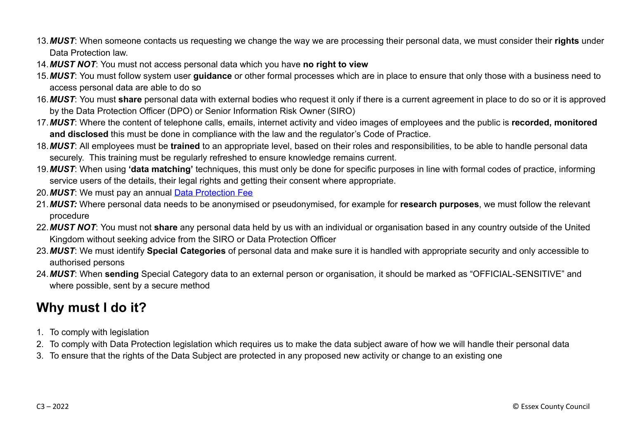- 13.*MUST*: When someone contacts us requesting we change the way we are processing their personal data, we must consider their **rights** under Data Protection law.
- 14.*MUST NOT*: You must not access personal data which you have **no right to view**
- 15.*MUST*: You must follow system user **guidance** or other formal processes which are in place to ensure that only those with a business need to access personal data are able to do so
- 16.*MUST*: You must **share** personal data with external bodies who request it only if there is a current agreement in place to do so or it is approved by the Data Protection Officer (DPO) or Senior Information Risk Owner (SIRO)
- 17.*MUST*: Where the content of telephone calls, emails, internet activity and video images of employees and the public is **recorded, monitored and disclosed** this must be done in compliance with the law and the regulator's Code of Practice.
- 18.*MUST*: All employees must be **trained** to an appropriate level, based on their roles and responsibilities, to be able to handle personal data securely. This training must be regularly refreshed to ensure knowledge remains current.
- 19.*MUST*: When using **'data matching'** techniques, this must only be done for specific purposes in line with formal codes of practice, informing service users of the details, their legal rights and getting their consent where appropriate.
- 20.*MUST*: We must pay an annual [Data Protection Fee](https://ico.org.uk/for-organisations/data-protection-fee/)
- 21.*MUST:* Where personal data needs to be anonymised or pseudonymised, for example for **research purposes**, we must follow the relevant procedure
- 22.*MUST NOT*: You must not **share** any personal data held by us with an individual or organisation based in any country outside of the United Kingdom without seeking advice from the SIRO or Data Protection Officer
- 23.*MUST*: We must identify **Special Categories** of personal data and make sure it is handled with appropriate security and only accessible to authorised persons
- 24.*MUST*: When **sending** Special Category data to an external person or organisation, it should be marked as "OFFICIAL-SENSITIVE" and where possible, sent by a secure method

## **Why must I do it?**

- 1. To comply with legislation
- 2. To comply with Data Protection legislation which requires us to make the data subject aware of how we will handle their personal data
- 3. To ensure that the rights of the Data Subject are protected in any proposed new activity or change to an existing one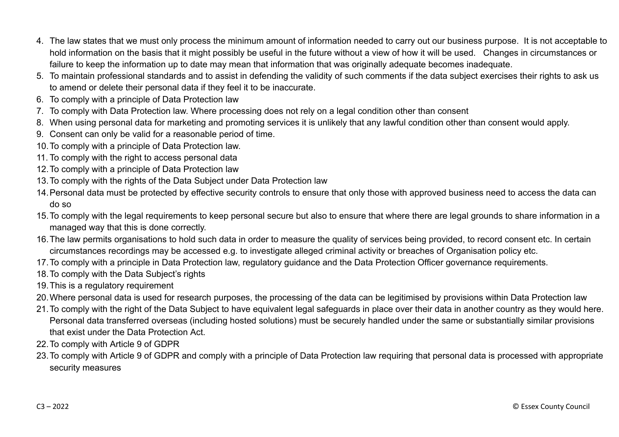- 4. The law states that we must only process the minimum amount of information needed to carry out our business purpose. It is not acceptable to hold information on the basis that it might possibly be useful in the future without a view of how it will be used. Changes in circumstances or failure to keep the information up to date may mean that information that was originally adequate becomes inadequate.
- 5. To maintain professional standards and to assist in defending the validity of such comments if the data subject exercises their rights to ask us to amend or delete their personal data if they feel it to be inaccurate.
- 6. To comply with a principle of Data Protection law
- 7. To comply with Data Protection law. Where processing does not rely on a legal condition other than consent
- 8. When using personal data for marketing and promoting services it is unlikely that any lawful condition other than consent would apply.
- 9. Consent can only be valid for a reasonable period of time.
- 10.To comply with a principle of Data Protection law.
- 11. To comply with the right to access personal data
- 12.To comply with a principle of Data Protection law
- 13.To comply with the rights of the Data Subject under Data Protection law
- 14.Personal data must be protected by effective security controls to ensure that only those with approved business need to access the data can do so
- 15.To comply with the legal requirements to keep personal secure but also to ensure that where there are legal grounds to share information in a managed way that this is done correctly.
- 16.The law permits organisations to hold such data in order to measure the quality of services being provided, to record consent etc. In certain circumstances recordings may be accessed e.g. to investigate alleged criminal activity or breaches of Organisation policy etc.
- 17.To comply with a principle in Data Protection law, regulatory guidance and the Data Protection Officer governance requirements.
- 18.To comply with the Data Subject's rights
- 19.This is a regulatory requirement
- 20.Where personal data is used for research purposes, the processing of the data can be legitimised by provisions within Data Protection law
- 21.To comply with the right of the Data Subject to have equivalent legal safeguards in place over their data in another country as they would here. Personal data transferred overseas (including hosted solutions) must be securely handled under the same or substantially similar provisions that exist under the Data Protection Act.
- 22.To comply with Article 9 of GDPR
- 23.To comply with Article 9 of GDPR and comply with a principle of Data Protection law requiring that personal data is processed with appropriate security measures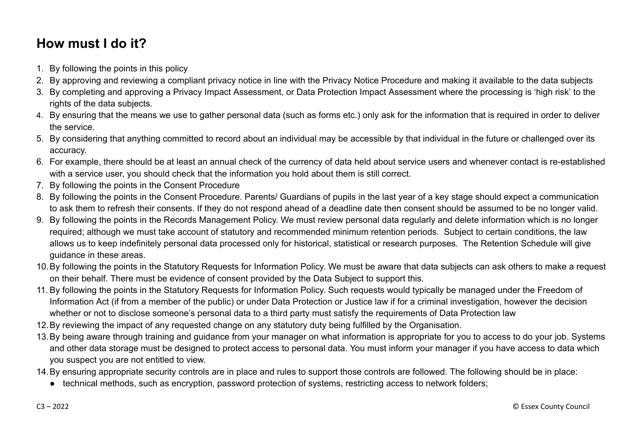## **How must I do it?**

- 1. By following the points in this policy
- 2. By approving and reviewing a compliant privacy notice in line with the Privacy Notice Procedure and making it available to the data subjects
- 3. By completing and approving a Privacy Impact Assessment, or Data Protection Impact Assessment where the processing is 'high risk' to the rights of the data subjects.
- 4. By ensuring that the means we use to gather personal data (such as forms etc.) only ask for the information that is required in order to deliver the service.
- 5. By considering that anything committed to record about an individual may be accessible by that individual in the future or challenged over its accuracy.
- 6. For example, there should be at least an annual check of the currency of data held about service users and whenever contact is re-established with a service user, you should check that the information you hold about them is still correct.
- 7. By following the points in the Consent Procedure
- 8. By following the points in the Consent Procedure. Parents/ Guardians of pupils in the last year of a key stage should expect a communication to ask them to refresh their consents. If they do not respond ahead of a deadline date then consent should be assumed to be no longer valid.
- 9. By following the points in the Records Management Policy. We must review personal data regularly and delete information which is no longer required; although we must take account of statutory and recommended minimum retention periods. Subject to certain conditions, the law allows us to keep indefinitely personal data processed only for historical, statistical or research purposes. The Retention Schedule will give guidance in these areas.
- 10.By following the points in the Statutory Requests for Information Policy. We must be aware that data subjects can ask others to make a request on their behalf. There must be evidence of consent provided by the Data Subject to support this.
- 11. By following the points in the Statutory Requests for Information Policy. Such requests would typically be managed under the Freedom of Information Act (if from a member of the public) or under Data Protection or Justice law if for a criminal investigation, however the decision whether or not to disclose someone's personal data to a third party must satisfy the requirements of Data Protection law
- 12.By reviewing the impact of any requested change on any statutory duty being fulfilled by the Organisation.
- 13.By being aware through training and guidance from your manager on what information is appropriate for you to access to do your job. Systems and other data storage must be designed to protect access to personal data. You must inform your manager if you have access to data which you suspect you are not entitled to view.
- 14.By ensuring appropriate security controls are in place and rules to support those controls are followed. The following should be in place:
	- technical methods, such as encryption, password protection of systems, restricting access to network folders;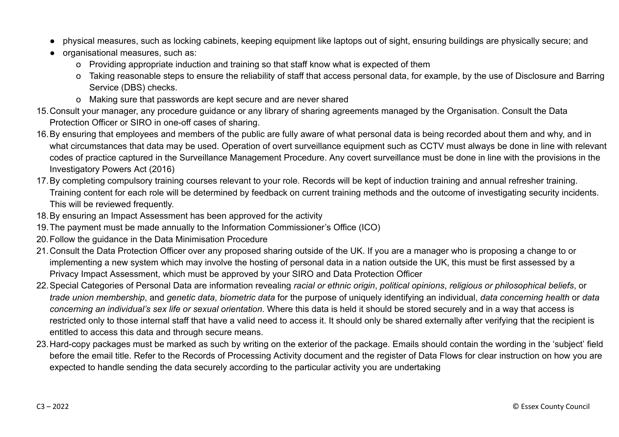- physical measures, such as locking cabinets, keeping equipment like laptops out of sight, ensuring buildings are physically secure; and
- organisational measures, such as:
	- o Providing appropriate induction and training so that staff know what is expected of them
	- o Taking reasonable steps to ensure the reliability of staff that access personal data, for example, by the use of Disclosure and Barring Service (DBS) checks.
	- o Making sure that passwords are kept secure and are never shared
- 15.Consult your manager, any procedure guidance or any library of sharing agreements managed by the Organisation. Consult the Data Protection Officer or SIRO in one-off cases of sharing.
- 16.By ensuring that employees and members of the public are fully aware of what personal data is being recorded about them and why, and in what circumstances that data may be used. Operation of overt surveillance equipment such as CCTV must always be done in line with relevant codes of practice captured in the Surveillance Management Procedure. Any covert surveillance must be done in line with the provisions in the Investigatory Powers Act (2016)
- 17.By completing compulsory training courses relevant to your role. Records will be kept of induction training and annual refresher training. Training content for each role will be determined by feedback on current training methods and the outcome of investigating security incidents. This will be reviewed frequently.
- 18.By ensuring an Impact Assessment has been approved for the activity
- 19.The payment must be made annually to the Information Commissioner's Office (ICO)
- 20.Follow the guidance in the Data Minimisation Procedure
- 21.Consult the Data Protection Officer over any proposed sharing outside of the UK. If you are a manager who is proposing a change to or implementing a new system which may involve the hosting of personal data in a nation outside the UK, this must be first assessed by a Privacy Impact Assessment, which must be approved by your SIRO and Data Protection Officer
- 22.Special Categories of Personal Data are information revealing *racial or ethnic origin*, *political opinions*, *religious or philosophical beliefs*, or *trade union membership*, and *genetic data*, *biometric data* for the purpose of uniquely identifying an individual, *data concerning health* or *data concerning an individual's sex life or sexual orientation*. Where this data is held it should be stored securely and in a way that access is restricted only to those internal staff that have a valid need to access it. It should only be shared externally after verifying that the recipient is entitled to access this data and through secure means.
- 23.Hard-copy packages must be marked as such by writing on the exterior of the package. Emails should contain the wording in the 'subject' field before the email title. Refer to the Records of Processing Activity document and the register of Data Flows for clear instruction on how you are expected to handle sending the data securely according to the particular activity you are undertaking